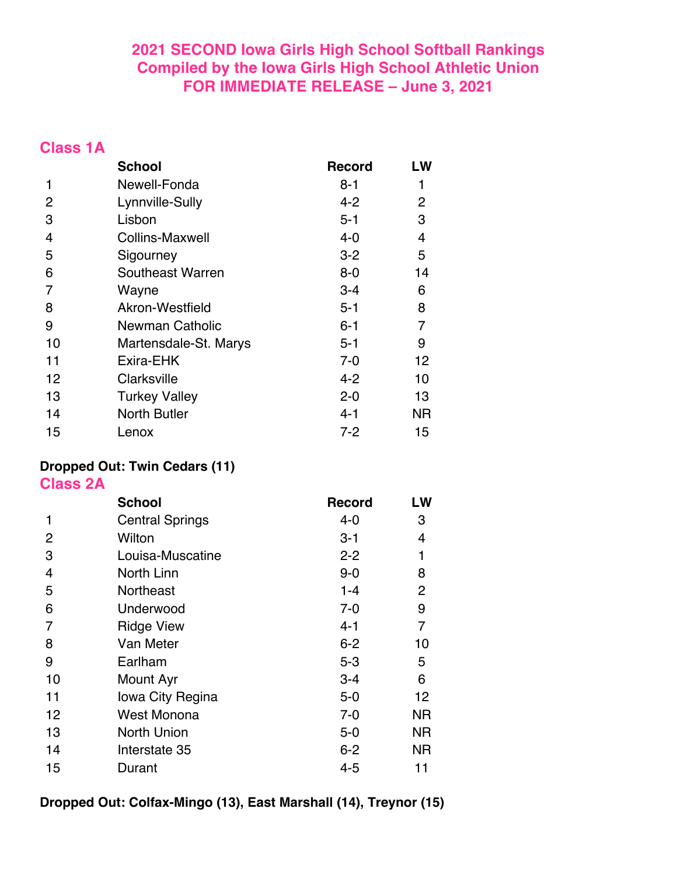## **2021 SECOND Iowa Girls High School Softball Rankings Compiled by the Iowa Girls High School Athletic Union FOR IMMEDIATE RELEASE – June 3, 2021**

## **Class 1A**

|                | <b>School</b>          | <b>Record</b> | LW        |
|----------------|------------------------|---------------|-----------|
| 1              | Newell-Fonda           | $8 - 1$       | 1         |
| $\overline{2}$ | Lynnville-Sully        | 4-2           | 2         |
| 3              | Lisbon                 | $5 - 1$       | 3         |
| $\overline{4}$ | <b>Collins-Maxwell</b> | $4 - 0$       | 4         |
| 5              | Sigourney              | $3 - 2$       | 5         |
| 6              | Southeast Warren       | $8-0$         | 14        |
| 7              | Wayne                  | $3 - 4$       | 6         |
| 8              | Akron-Westfield        | $5 - 1$       | 8         |
| 9              | <b>Newman Catholic</b> | $6 - 1$       | 7         |
| 10             | Martensdale-St. Marys  | $5 - 1$       | 9         |
| 11             | Exira-EHK              | $7 - 0$       | 12        |
| 12             | Clarksville            | $4 - 2$       | 10        |
| 13             | <b>Turkey Valley</b>   | $2 - 0$       | 13        |
| 14             | <b>North Butler</b>    | 4-1           | <b>NR</b> |
| 15             | Lenox                  | $7 - 2$       | 15        |

# **Dropped Out: Twin Cedars (11)**

**Class 2A**

|    | <b>School</b>          | <b>Record</b> | LW             |
|----|------------------------|---------------|----------------|
| 1  | <b>Central Springs</b> | 4-0           | 3              |
| 2  | Wilton                 | $3 - 1$       | 4              |
| 3  | Louisa-Muscatine       | $2 - 2$       | 1              |
| 4  | North Linn             | $9 - 0$       | 8              |
| 5  | Northeast              | $1 - 4$       | $\overline{2}$ |
| 6  | Underwood              | $7 - 0$       | 9              |
| 7  | <b>Ridge View</b>      | $4 - 1$       | 7              |
| 8  | Van Meter              | $6 - 2$       | 10             |
| 9  | Earlham                | $5 - 3$       | 5              |
| 10 | Mount Ayr              | $3 - 4$       | 6              |
| 11 | lowa City Regina       | $5-0$         | 12             |
| 12 | West Monona            | $7 - 0$       | ΝR             |
| 13 | North Union            | $5-0$         | <b>NR</b>      |
| 14 | Interstate 35          | $6 - 2$       | ΝR             |
| 15 | Durant                 | $4 - 5$       | 11             |

**Dropped Out: Colfax-Mingo (13), East Marshall (14), Treynor (15)**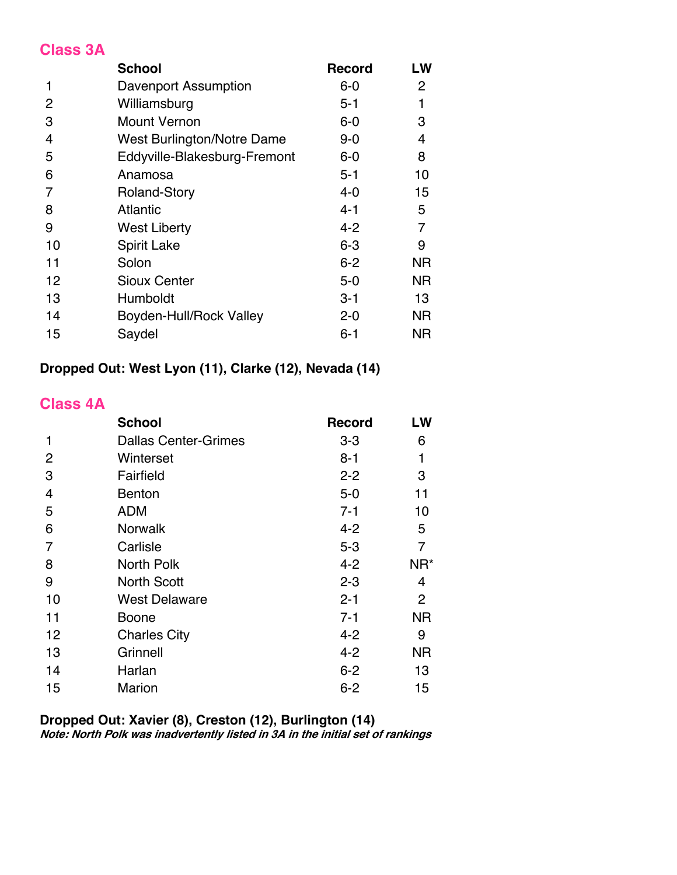#### **Class 3A**

|    | <b>School</b>                | <b>Record</b> | LW        |
|----|------------------------------|---------------|-----------|
| 1  | Davenport Assumption         | $6-0$         | 2         |
| 2  | Williamsburg                 | $5 - 1$       | 1         |
| 3  | <b>Mount Vernon</b>          | $6-0$         | 3         |
| 4  | West Burlington/Notre Dame   | $9 - 0$       | 4         |
| 5  | Eddyville-Blakesburg-Fremont | $6-0$         | 8         |
| 6  | Anamosa                      | $5 - 1$       | 10        |
| 7  | <b>Roland-Story</b>          | $4 - 0$       | 15        |
| 8  | <b>Atlantic</b>              | $4 - 1$       | 5         |
| 9  | <b>West Liberty</b>          | $4 - 2$       | 7         |
| 10 | <b>Spirit Lake</b>           | $6 - 3$       | 9         |
| 11 | Solon                        | $6 - 2$       | ΝR        |
| 12 | <b>Sioux Center</b>          | $5-0$         | <b>NR</b> |
| 13 | Humboldt                     | $3 - 1$       | 13        |
| 14 | Boyden-Hull/Rock Valley      | $2 - 0$       | <b>NR</b> |
| 15 | Saydel                       | $6 - 1$       | ΝR        |

## **Dropped Out: West Lyon (11), Clarke (12), Nevada (14)**

### **Class 4A**

|    | <b>School</b>               | <b>Record</b> | LW              |
|----|-----------------------------|---------------|-----------------|
| 1  | <b>Dallas Center-Grimes</b> | $3 - 3$       | 6               |
| 2  | Winterset                   | $8 - 1$       | 1               |
| 3  | Fairfield                   | $2 - 2$       | 3               |
| 4  | <b>Benton</b>               | $5-0$         | 11              |
| 5  | <b>ADM</b>                  | $7 - 1$       | 10              |
| 6  | <b>Norwalk</b>              | $4 - 2$       | 5               |
| 7  | Carlisle                    | $5-3$         | 7               |
| 8  | North Polk                  | $4 - 2$       | NR <sup>*</sup> |
| 9  | <b>North Scott</b>          | $2 - 3$       | 4               |
| 10 | <b>West Delaware</b>        | $2 - 1$       | $\overline{2}$  |
| 11 | Boone                       | $7 - 1$       | <b>NR</b>       |
| 12 | <b>Charles City</b>         | $4 - 2$       | 9               |
| 13 | Grinnell                    | $4 - 2$       | <b>NR</b>       |
| 14 | Harlan                      | $6 - 2$       | 13              |
| 15 | <b>Marion</b>               | $6 - 2$       | 15              |

#### **Dropped Out: Xavier (8), Creston (12), Burlington (14)**

**Note: North Polk was inadvertently listed in 3A in the initial set of rankings**